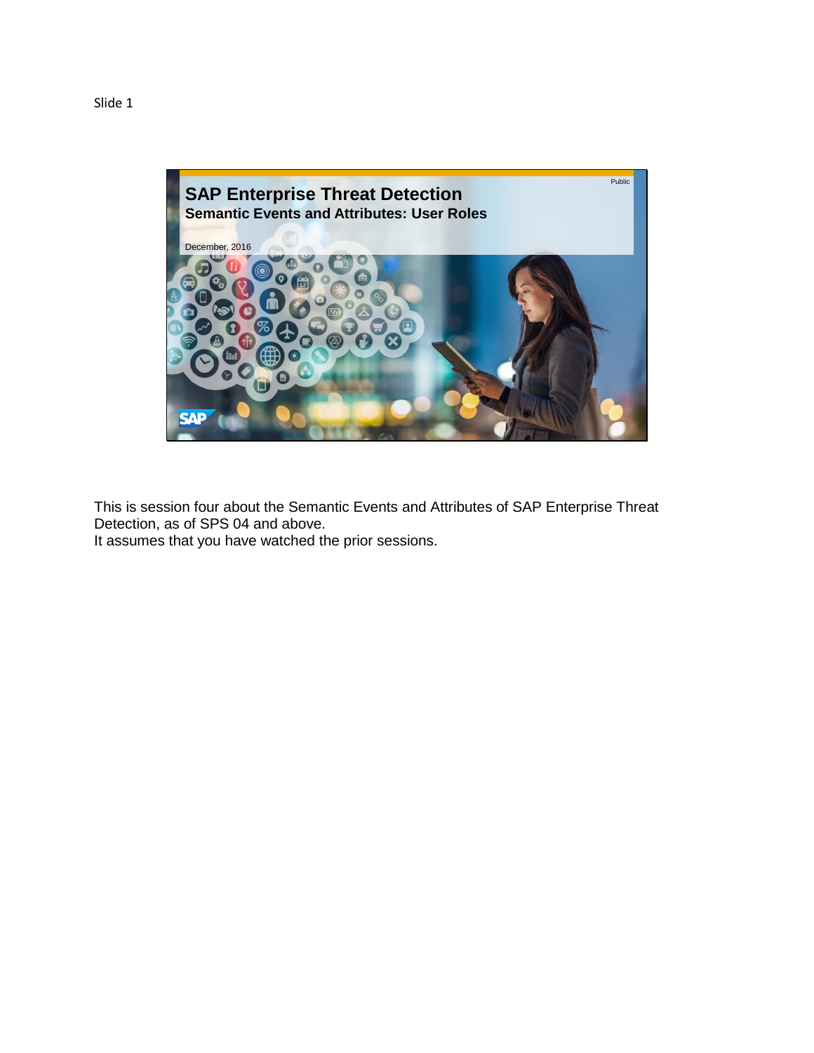

This is session four about the Semantic Events and Attributes of SAP Enterprise Threat Detection, as of SPS 04 and above. It assumes that you have watched the prior sessions.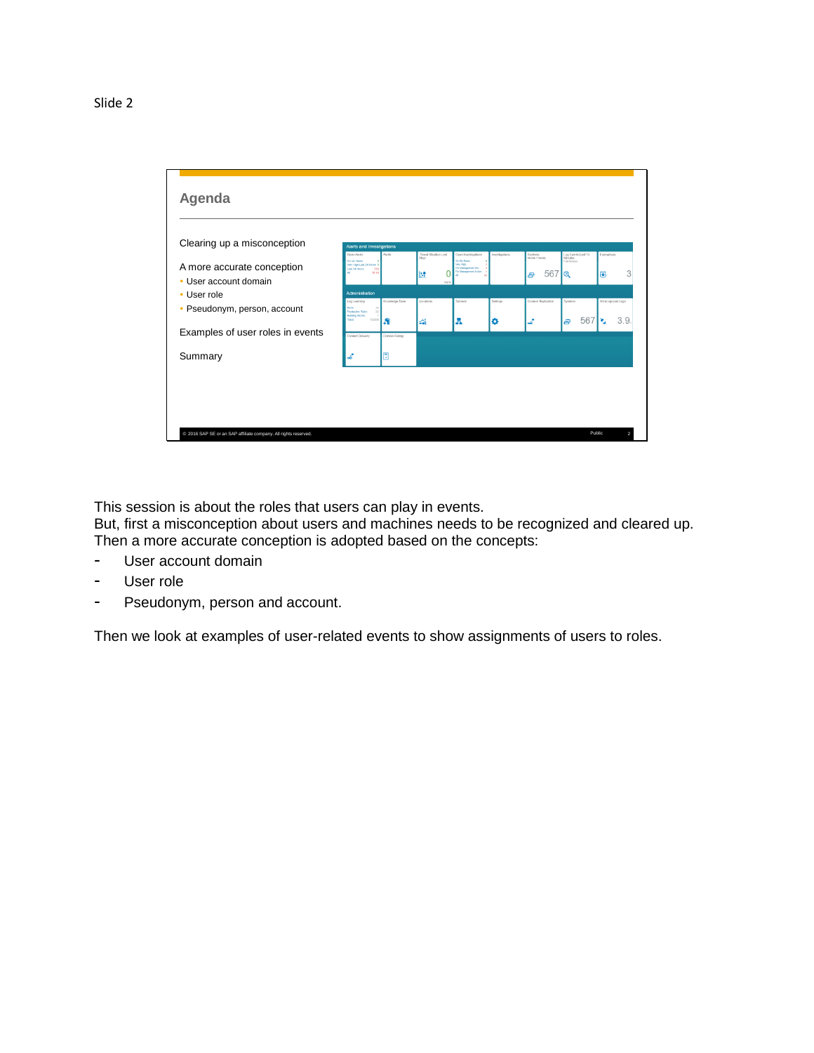

This session is about the roles that users can play in events.

But, first a misconception about users and machines needs to be recognized and cleared up. Then a more accurate conception is adopted based on the concepts:

- User account domain
- User role
- Pseudonym, person and account.

Then we look at examples of user-related events to show assignments of users to roles.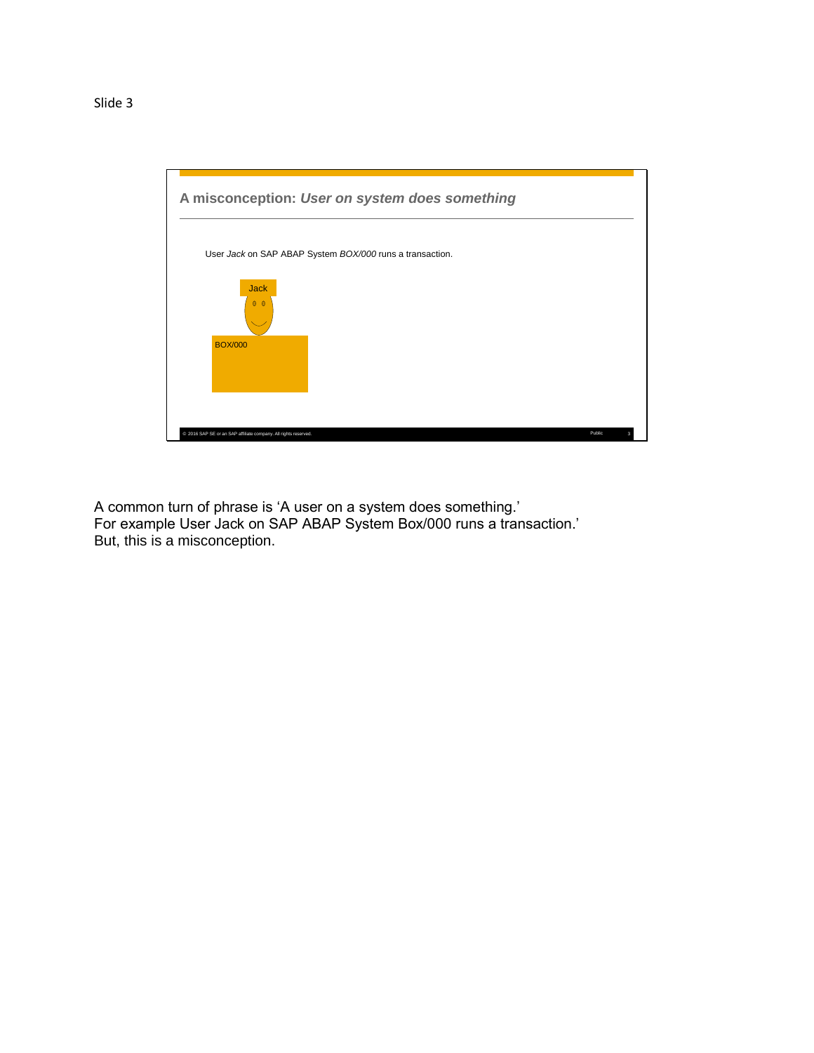

A common turn of phrase is 'A user on a system does something.' For example User Jack on SAP ABAP System Box/000 runs a transaction.' But, this is a misconception.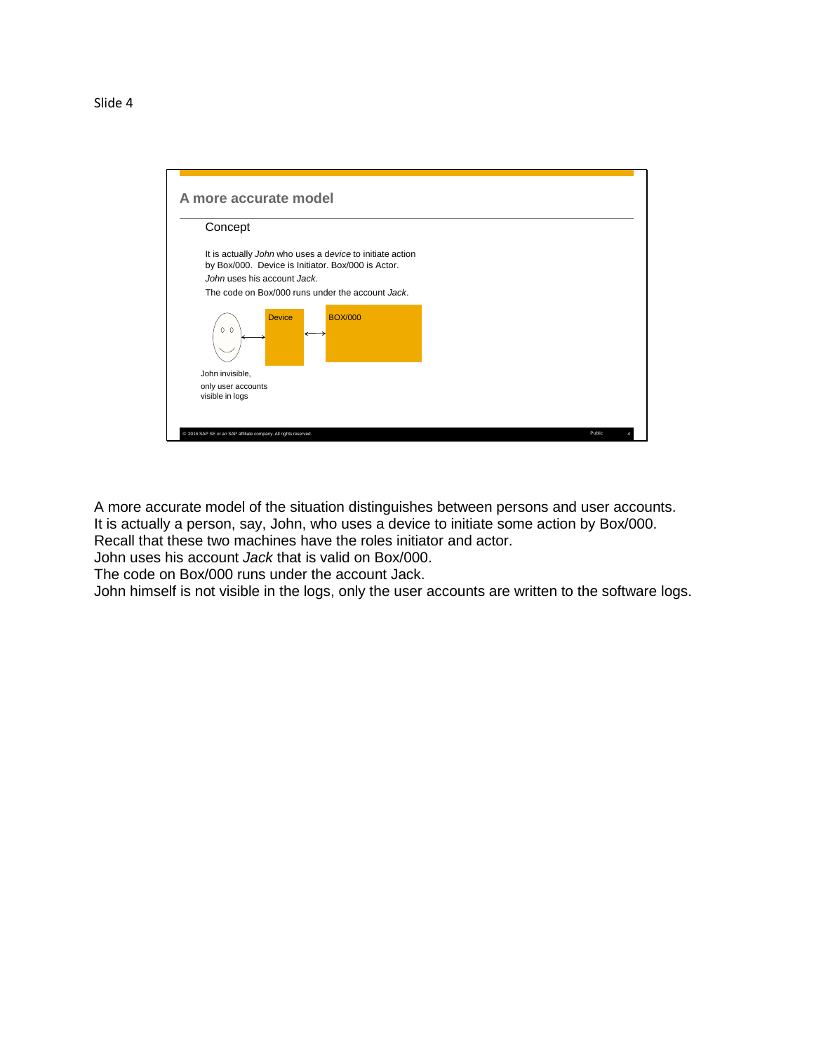| Concept                               |               |                                                                                                                |  |  |
|---------------------------------------|---------------|----------------------------------------------------------------------------------------------------------------|--|--|
|                                       |               | It is actually John who uses a device to initiate action<br>by Box/000. Device is Initiator. Box/000 is Actor. |  |  |
| John uses his account Jack.           |               |                                                                                                                |  |  |
|                                       |               | The code on Box/000 runs under the account Jack.                                                               |  |  |
| 0 <sub>0</sub>                        | <b>Device</b> | <b>BOX/000</b>                                                                                                 |  |  |
| John invisible,                       |               |                                                                                                                |  |  |
| only user accounts<br>visible in logs |               |                                                                                                                |  |  |

A more accurate model of the situation distinguishes between persons and user accounts. It is actually a person, say, John, who uses a device to initiate some action by Box/000. Recall that these two machines have the roles initiator and actor.

John uses his account *Jack* that is valid on Box/000.

The code on Box/000 runs under the account Jack.

John himself is not visible in the logs, only the user accounts are written to the software logs.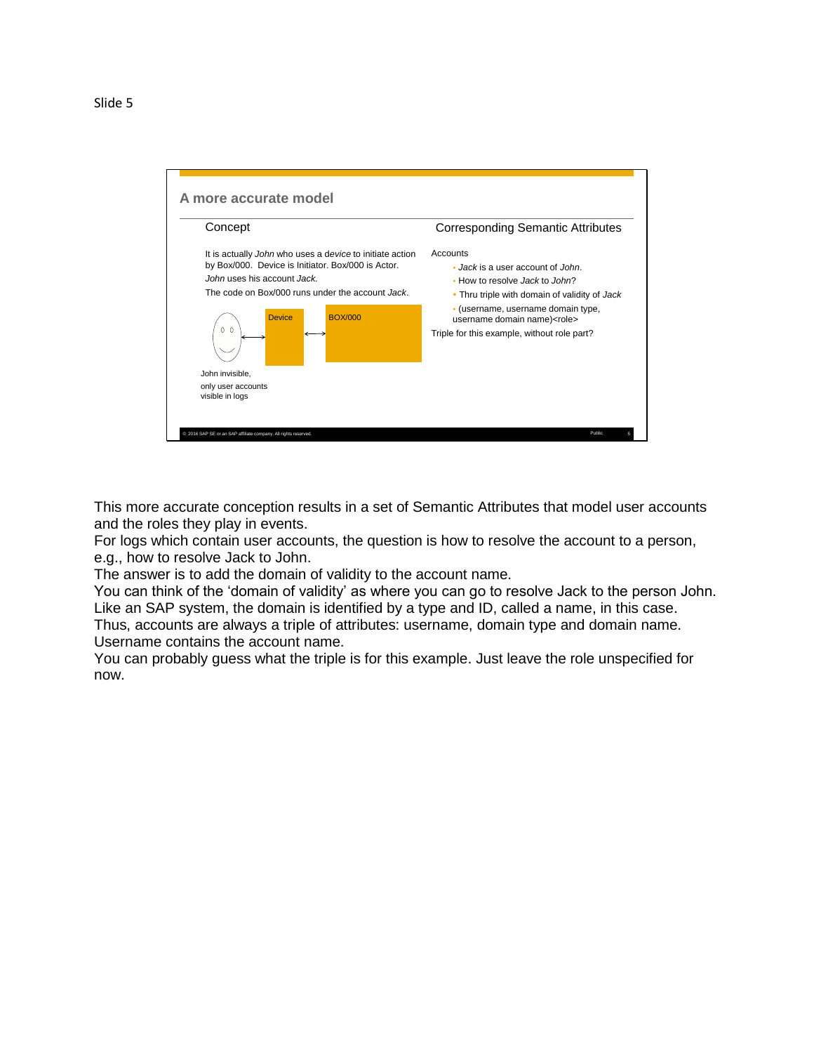

This more accurate conception results in a set of Semantic Attributes that model user accounts and the roles they play in events.

For logs which contain user accounts, the question is how to resolve the account to a person, e.g., how to resolve Jack to John.

The answer is to add the domain of validity to the account name.

You can think of the 'domain of validity' as where you can go to resolve Jack to the person John. Like an SAP system, the domain is identified by a type and ID, called a name, in this case.

Thus, accounts are always a triple of attributes: username, domain type and domain name. Username contains the account name.

You can probably guess what the triple is for this example. Just leave the role unspecified for now.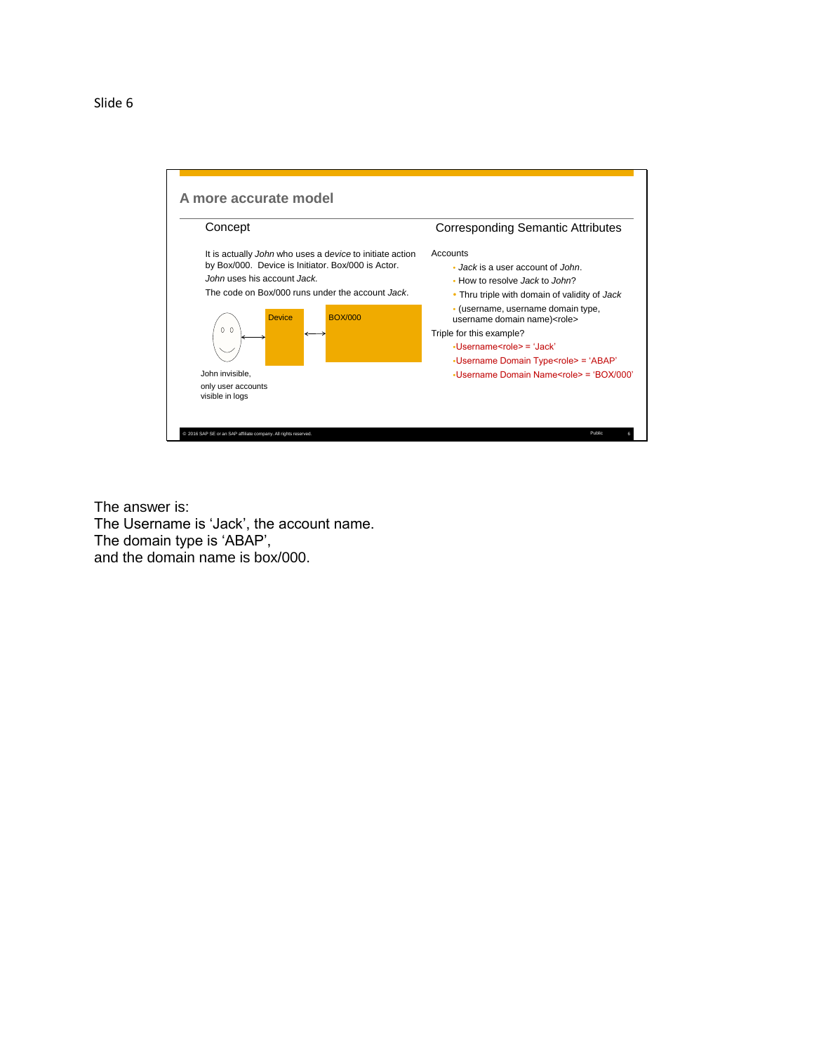

The answer is: The Username is 'Jack', the account name. The domain type is 'ABAP', and the domain name is box/000.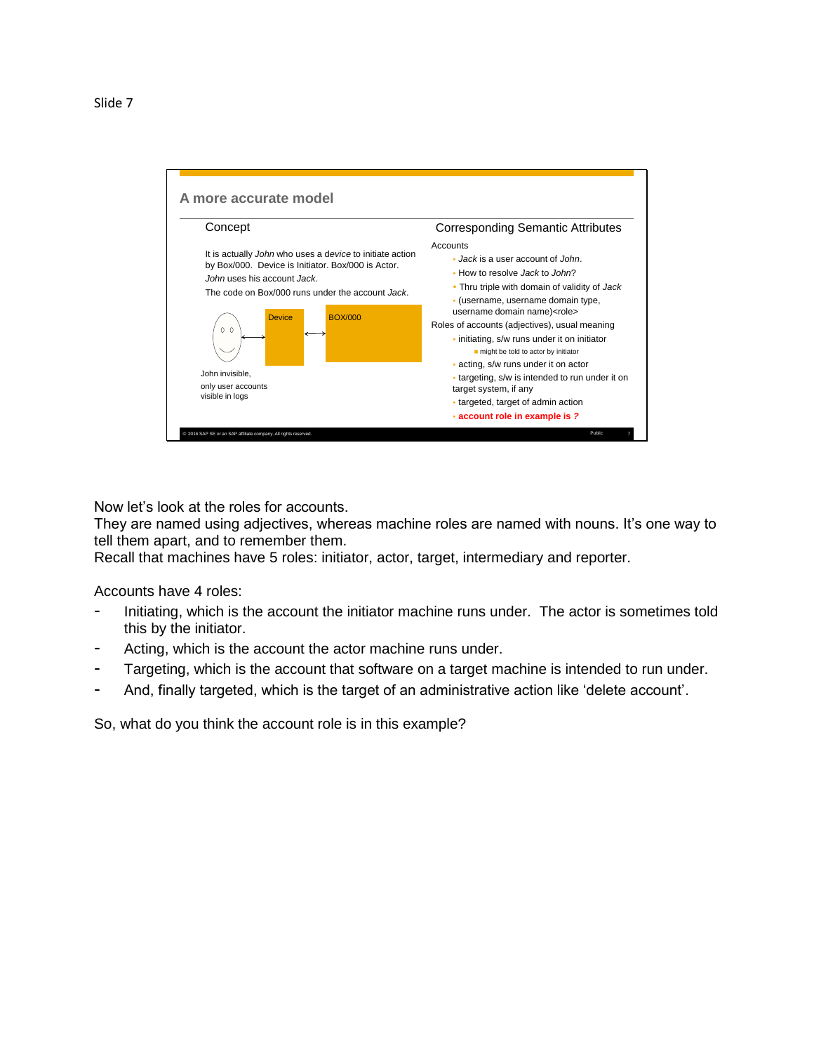

Now let's look at the roles for accounts.

They are named using adjectives, whereas machine roles are named with nouns. It's one way to tell them apart, and to remember them.

Recall that machines have 5 roles: initiator, actor, target, intermediary and reporter.

Accounts have 4 roles:

- Initiating, which is the account the initiator machine runs under. The actor is sometimes told this by the initiator.
- Acting, which is the account the actor machine runs under.
- Targeting, which is the account that software on a target machine is intended to run under.
- And, finally targeted, which is the target of an administrative action like 'delete account'.

So, what do you think the account role is in this example?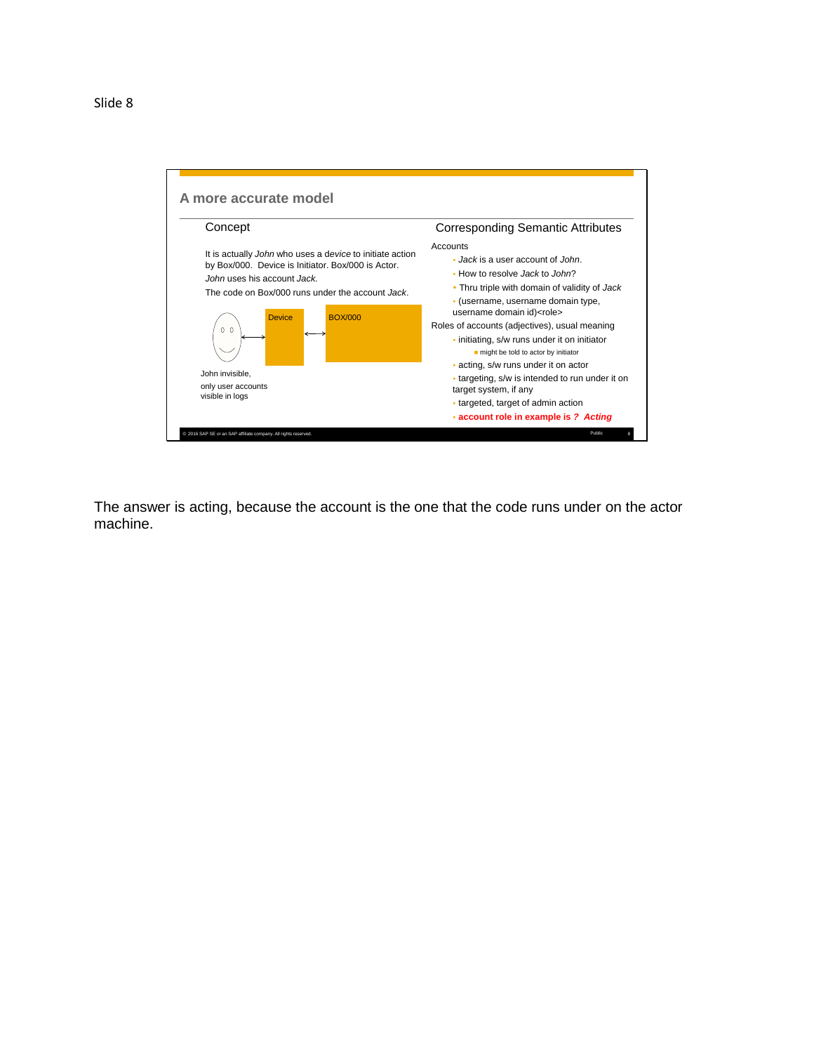

The answer is acting, because the account is the one that the code runs under on the actor machine.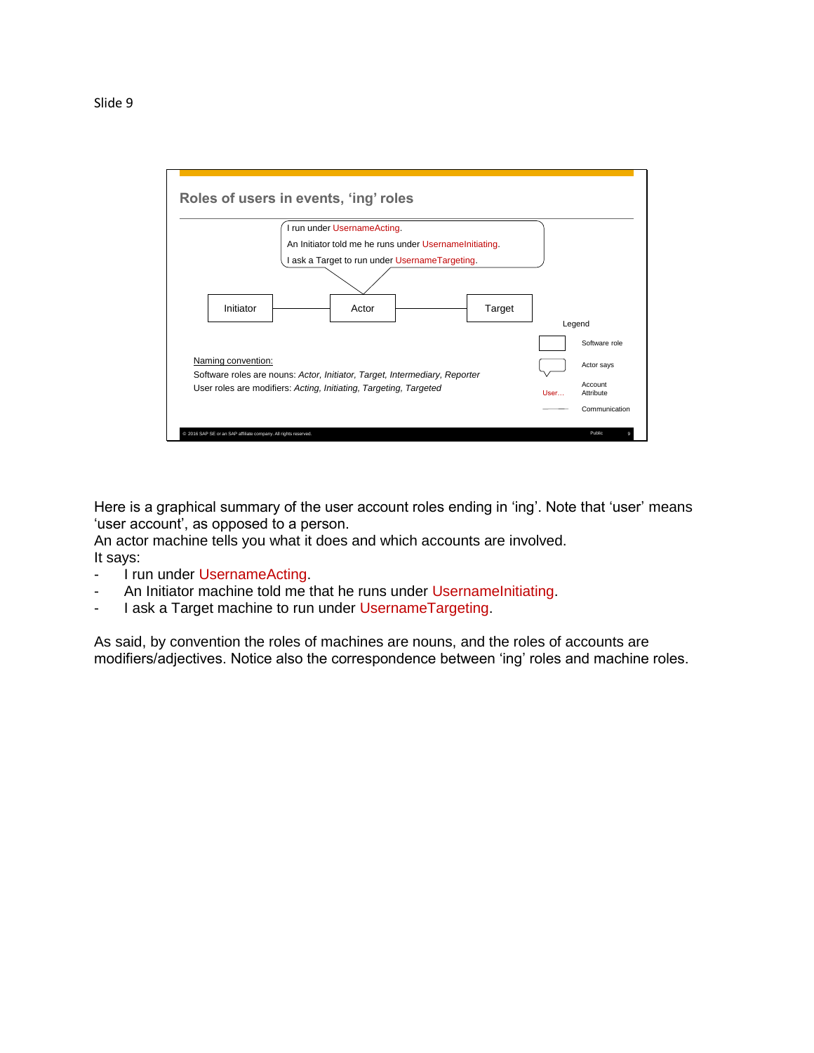

Here is a graphical summary of the user account roles ending in 'ing'. Note that 'user' means 'user account', as opposed to a person.

An actor machine tells you what it does and which accounts are involved. It says:

- I run under UsernameActing.
- An Initiator machine told me that he runs under UsernameInitiating.
- I ask a Target machine to run under UsernameTargeting.

As said, by convention the roles of machines are nouns, and the roles of accounts are modifiers/adjectives. Notice also the correspondence between 'ing' roles and machine roles.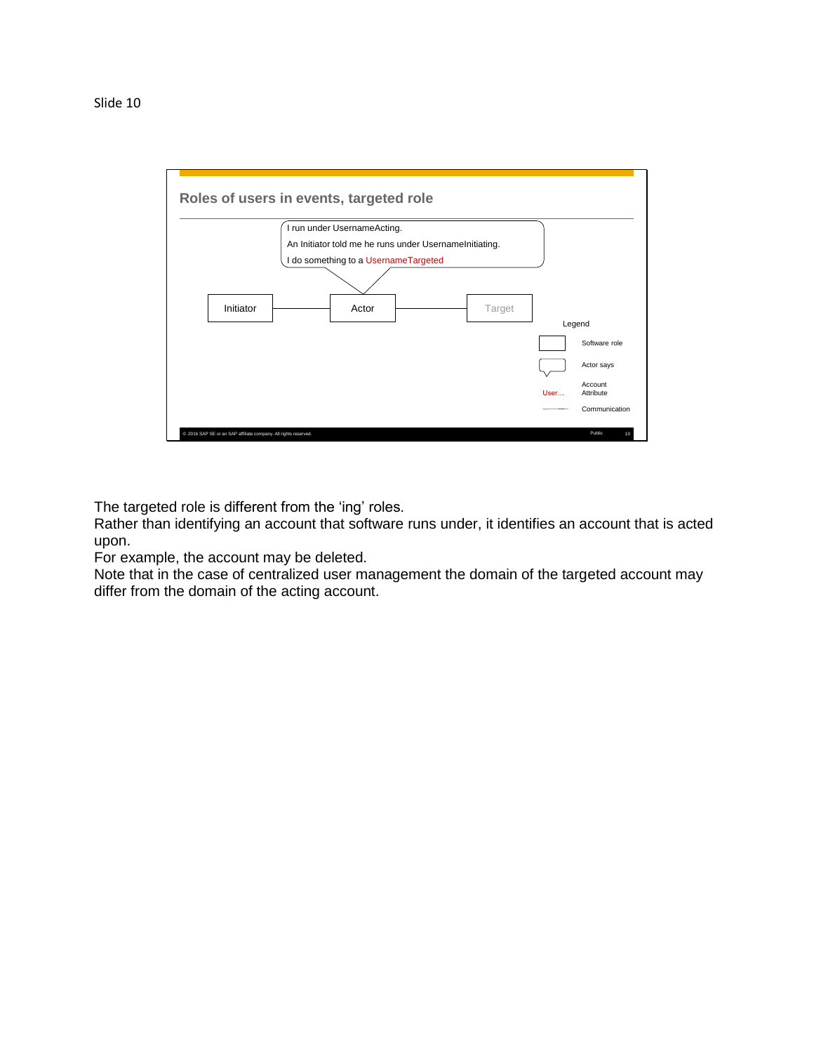

The targeted role is different from the 'ing' roles.

Rather than identifying an account that software runs under, it identifies an account that is acted upon.

For example, the account may be deleted.

Note that in the case of centralized user management the domain of the targeted account may differ from the domain of the acting account.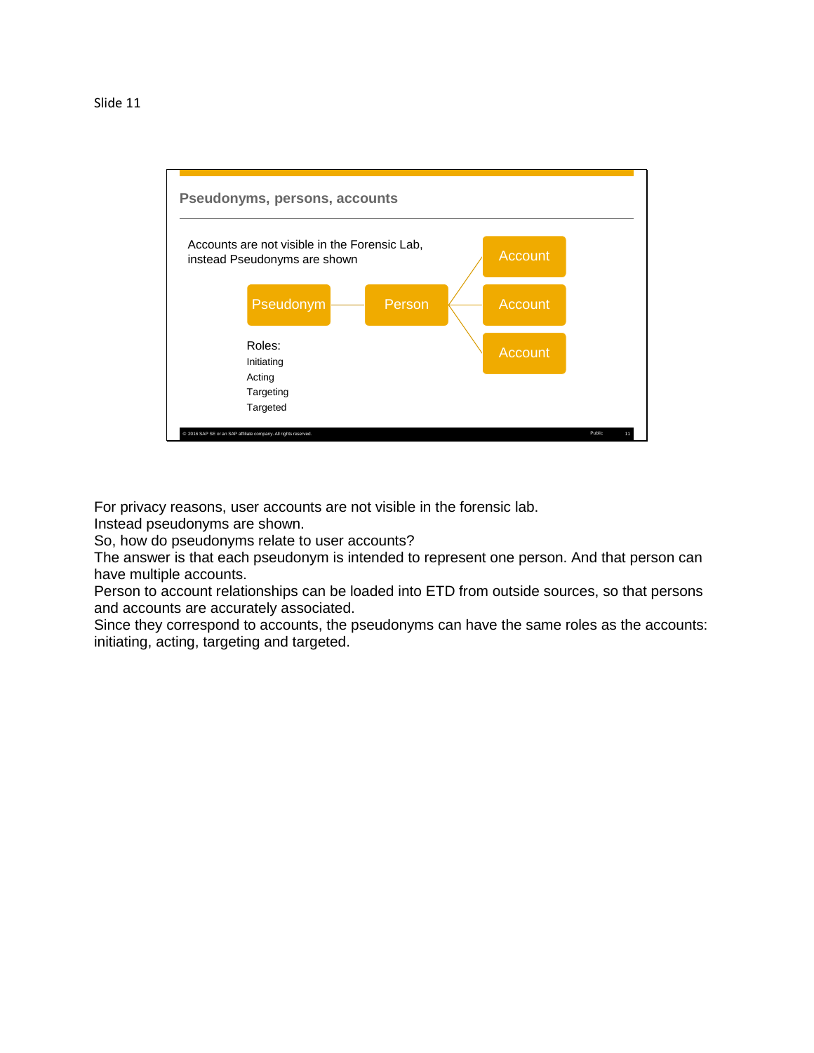

For privacy reasons, user accounts are not visible in the forensic lab.

Instead pseudonyms are shown.

So, how do pseudonyms relate to user accounts?

The answer is that each pseudonym is intended to represent one person. And that person can have multiple accounts.

Person to account relationships can be loaded into ETD from outside sources, so that persons and accounts are accurately associated.

Since they correspond to accounts, the pseudonyms can have the same roles as the accounts: initiating, acting, targeting and targeted.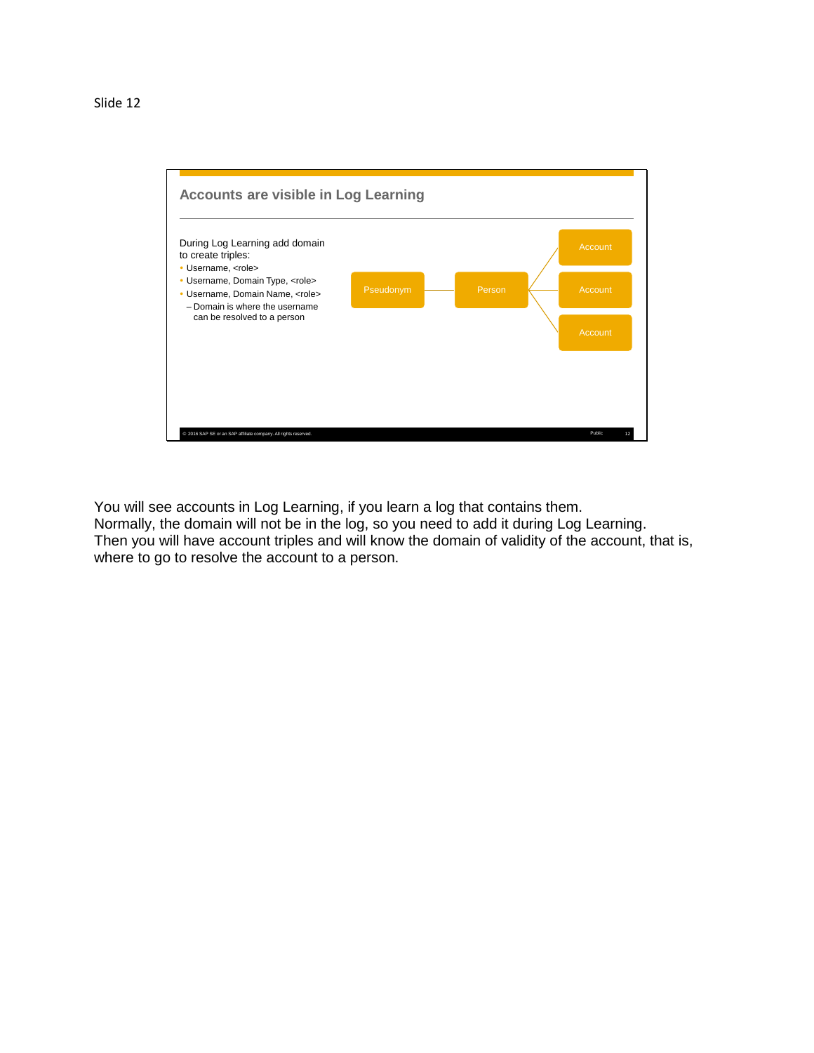

You will see accounts in Log Learning, if you learn a log that contains them. Normally, the domain will not be in the log, so you need to add it during Log Learning. Then you will have account triples and will know the domain of validity of the account, that is, where to go to resolve the account to a person.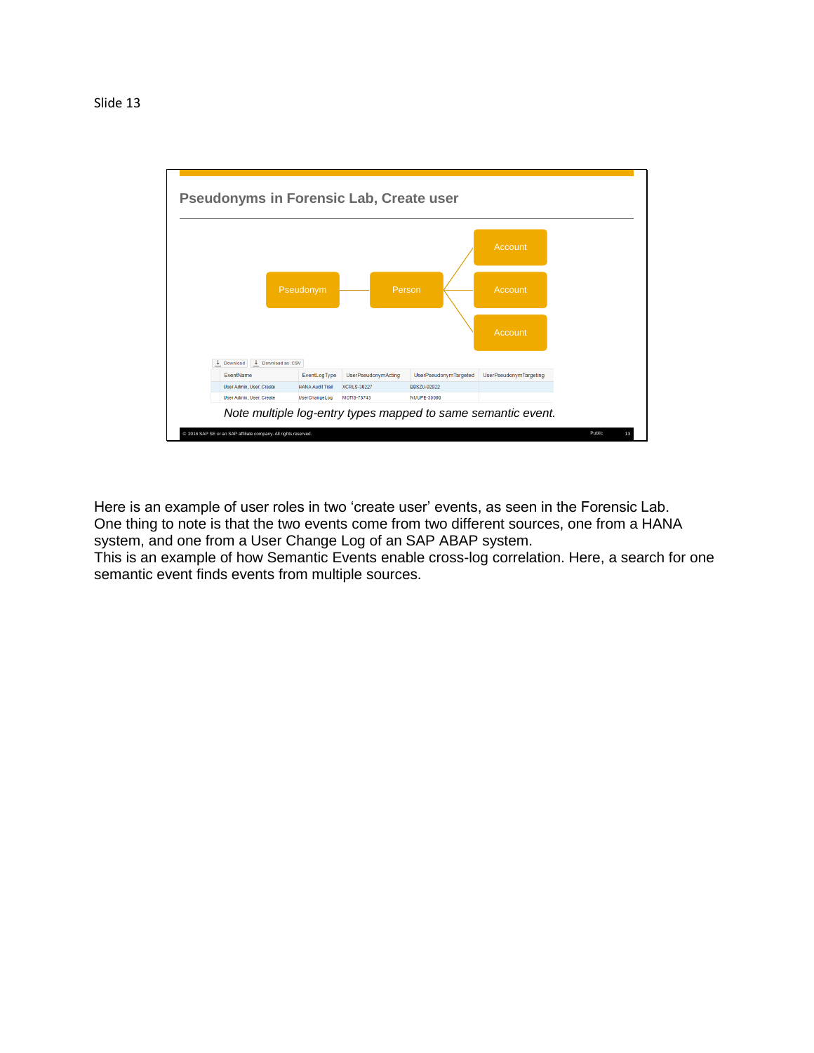

Here is an example of user roles in two 'create user' events, as seen in the Forensic Lab. One thing to note is that the two events come from two different sources, one from a HANA system, and one from a User Change Log of an SAP ABAP system.

This is an example of how Semantic Events enable cross-log correlation. Here, a search for one semantic event finds events from multiple sources.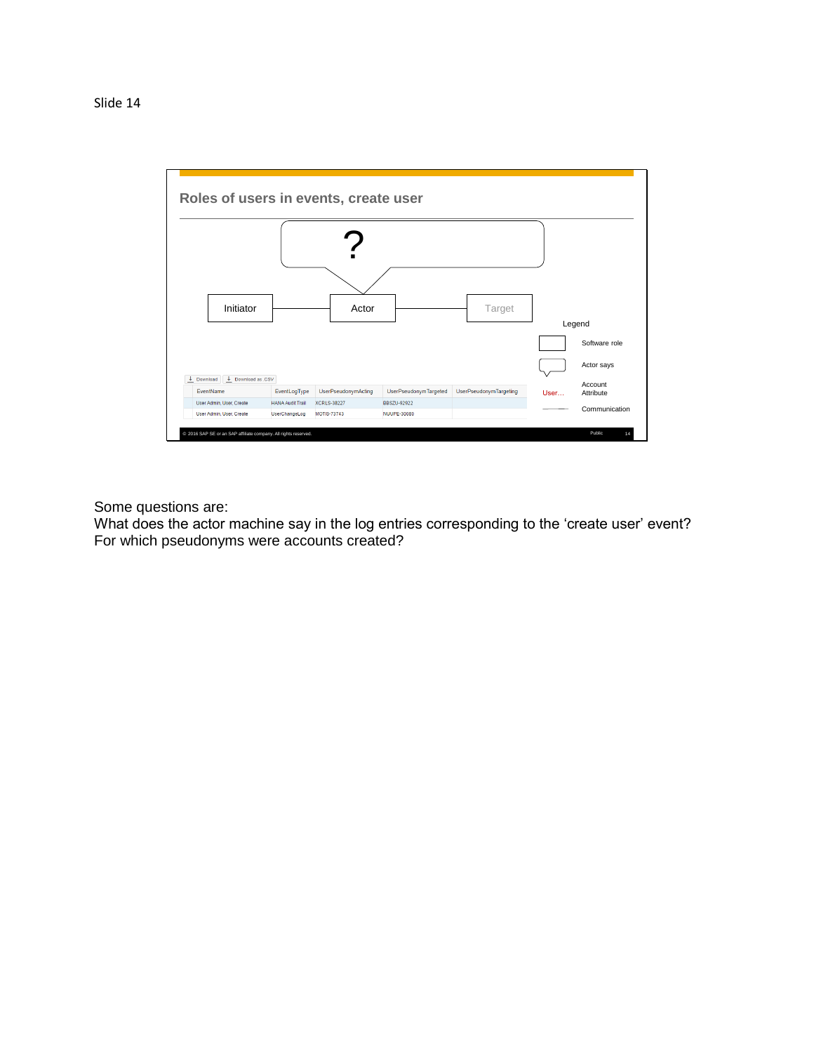

Some questions are:

What does the actor machine say in the log entries corresponding to the 'create user' event? For which pseudonyms were accounts created?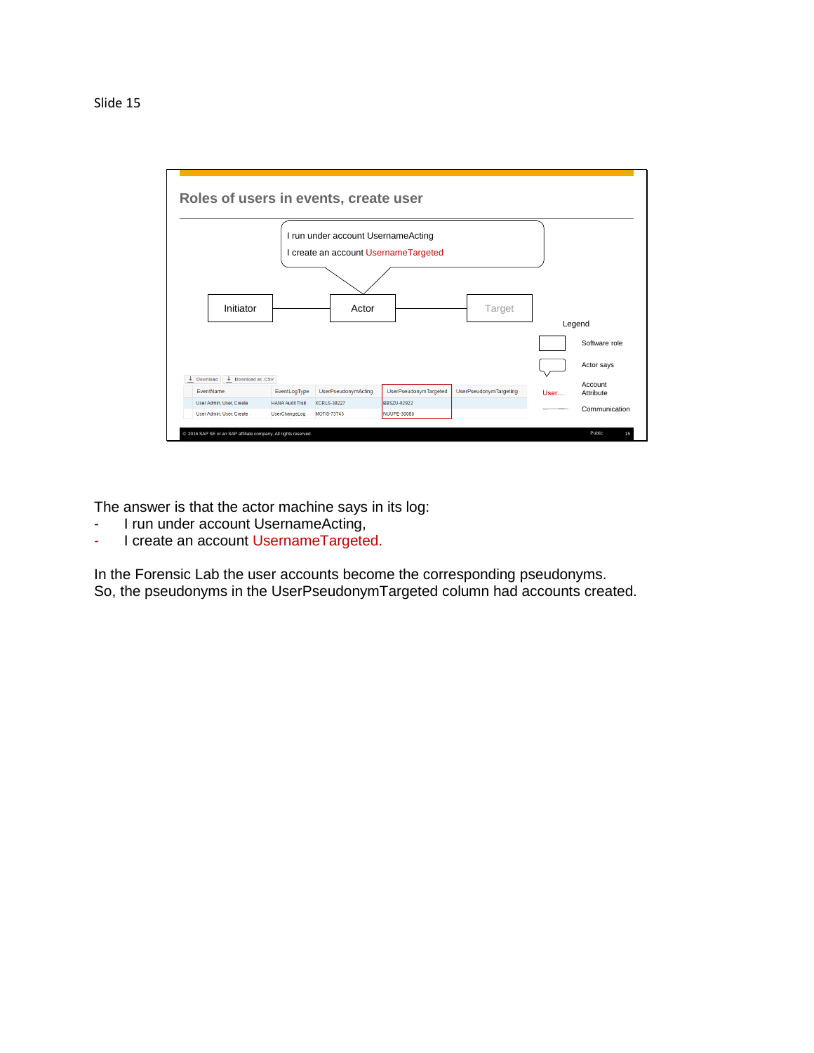

The answer is that the actor machine says in its log:

- I run under account UsernameActing,
- I create an account UsernameTargeted.

In the Forensic Lab the user accounts become the corresponding pseudonyms. So, the pseudonyms in the UserPseudonymTargeted column had accounts created.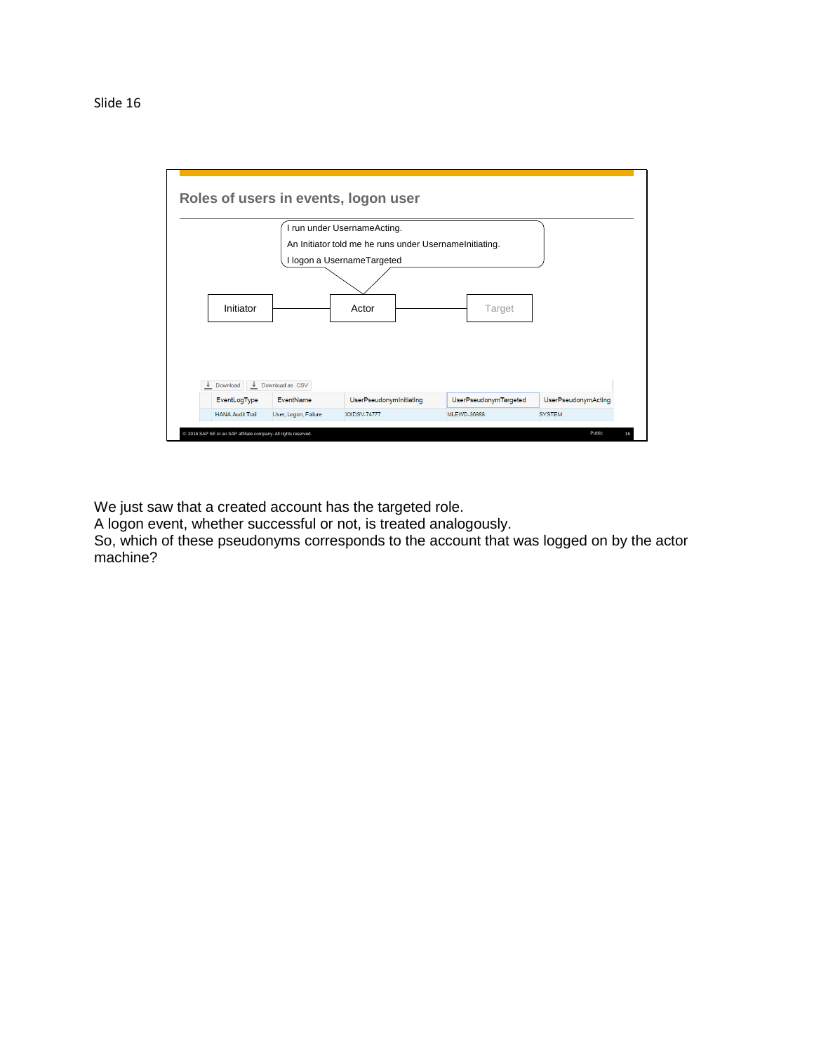

We just saw that a created account has the targeted role.

A logon event, whether successful or not, is treated analogously.

So, which of these pseudonyms corresponds to the account that was logged on by the actor machine?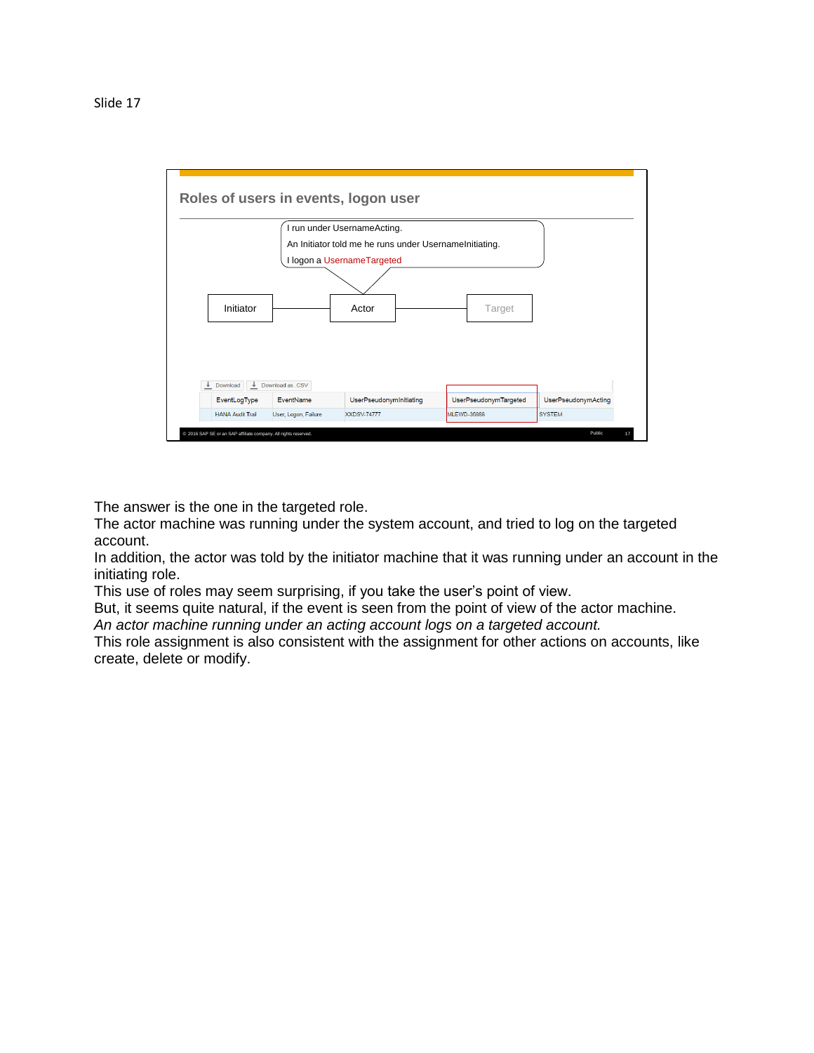

The answer is the one in the targeted role.

The actor machine was running under the system account, and tried to log on the targeted account.

In addition, the actor was told by the initiator machine that it was running under an account in the initiating role.

This use of roles may seem surprising, if you take the user's point of view.

But, it seems quite natural, if the event is seen from the point of view of the actor machine.

*An actor machine running under an acting account logs on a targeted account.*

This role assignment is also consistent with the assignment for other actions on accounts, like create, delete or modify.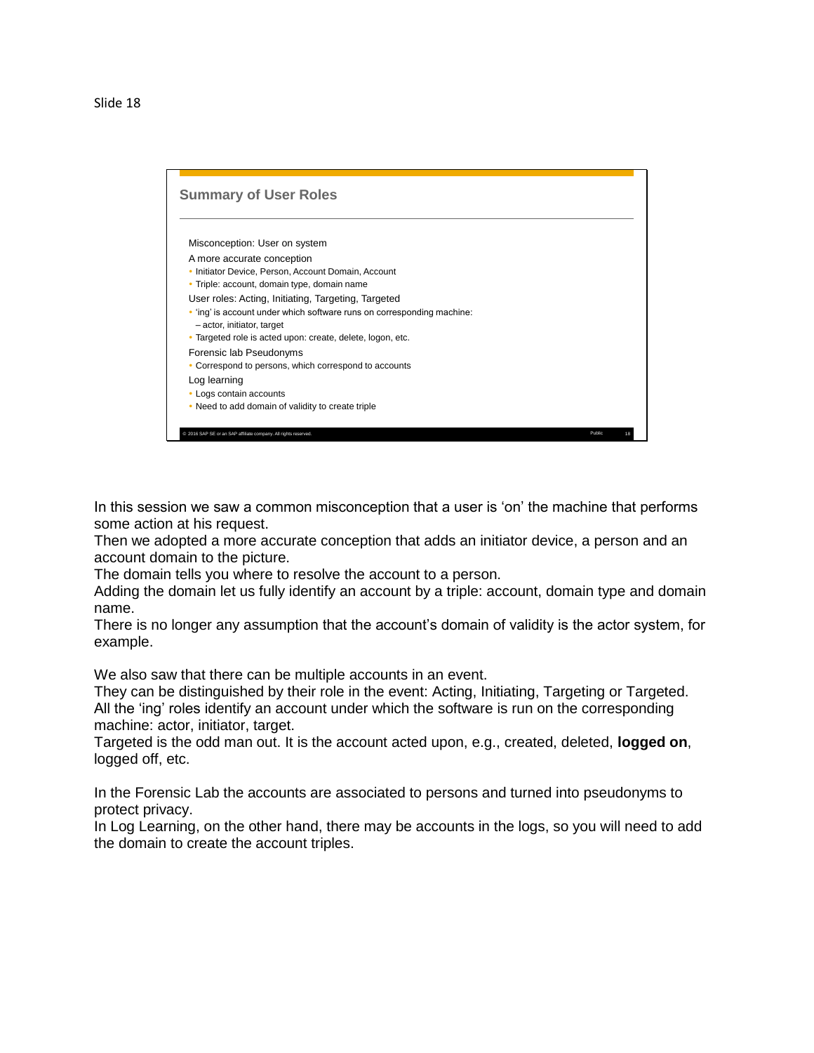## Slide 18



In this session we saw a common misconception that a user is 'on' the machine that performs some action at his request.

Then we adopted a more accurate conception that adds an initiator device, a person and an account domain to the picture.

The domain tells you where to resolve the account to a person.

Adding the domain let us fully identify an account by a triple: account, domain type and domain name.

There is no longer any assumption that the account's domain of validity is the actor system, for example.

We also saw that there can be multiple accounts in an event.

They can be distinguished by their role in the event: Acting, Initiating, Targeting or Targeted. All the 'ing' roles identify an account under which the software is run on the corresponding machine: actor, initiator, target.

Targeted is the odd man out. It is the account acted upon, e.g., created, deleted, **logged on**, logged off, etc.

In the Forensic Lab the accounts are associated to persons and turned into pseudonyms to protect privacy.

In Log Learning, on the other hand, there may be accounts in the logs, so you will need to add the domain to create the account triples.